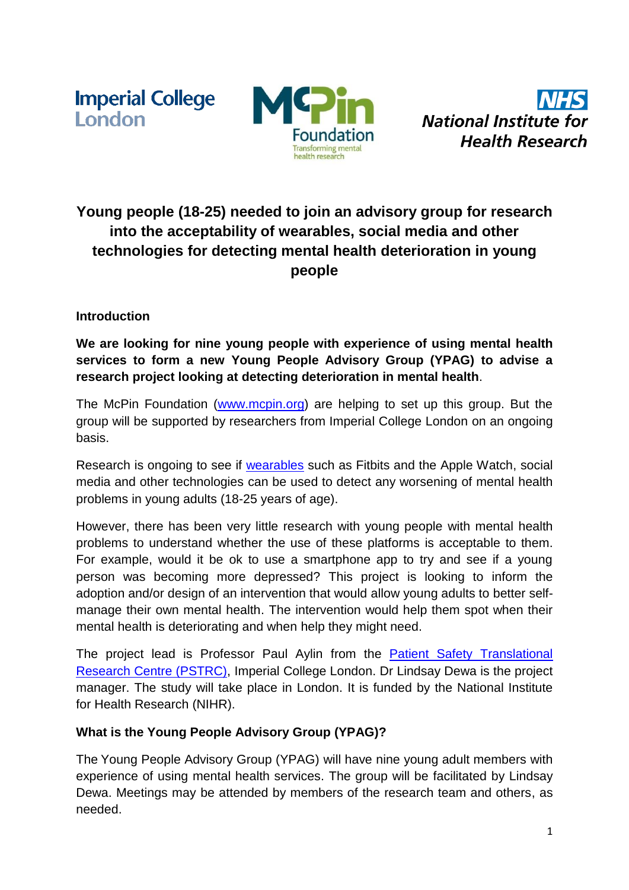**Imperial College** London



**National Institute for Health Research** 

# **Young people (18-25) needed to join an advisory group for research into the acceptability of wearables, social media and other technologies for detecting mental health deterioration in young people**

## **Introduction**

**We are looking for nine young people with experience of using mental health services to form a new Young People Advisory Group (YPAG) to advise a research project looking at detecting deterioration in mental health**.

The McPin Foundation [\(www.mcpin.org\)](http://www.mcpin.org/) are helping to set up this group. But the group will be supported by researchers from Imperial College London on an ongoing basis.

Research is ongoing to see if [wearables](https://en.wikipedia.org/wiki/Wearable_technology) such as Fitbits and the Apple Watch, social media and other technologies can be used to detect any worsening of mental health problems in young adults (18-25 years of age).

However, there has been very little research with young people with mental health problems to understand whether the use of these platforms is acceptable to them. For example, would it be ok to use a smartphone app to try and see if a young person was becoming more depressed? This project is looking to inform the adoption and/or design of an intervention that would allow young adults to better selfmanage their own mental health. The intervention would help them spot when their mental health is deteriorating and when help they might need.

The project lead is Professor Paul Aylin from the [Patient Safety Translational](http://www.imperial.ac.uk/patient-safety-translational-research-centre/news-events/the-patient-safety-global-action-summit-2016--expert-summit/)  [Research Centre \(PSTRC\),](http://www.imperial.ac.uk/patient-safety-translational-research-centre/news-events/the-patient-safety-global-action-summit-2016--expert-summit/) Imperial College London. Dr Lindsay Dewa is the project manager. The study will take place in London. It is funded by the National Institute for Health Research (NIHR).

## **What is the Young People Advisory Group (YPAG)?**

The Young People Advisory Group (YPAG) will have nine young adult members with experience of using mental health services. The group will be facilitated by Lindsay Dewa. Meetings may be attended by members of the research team and others, as needed.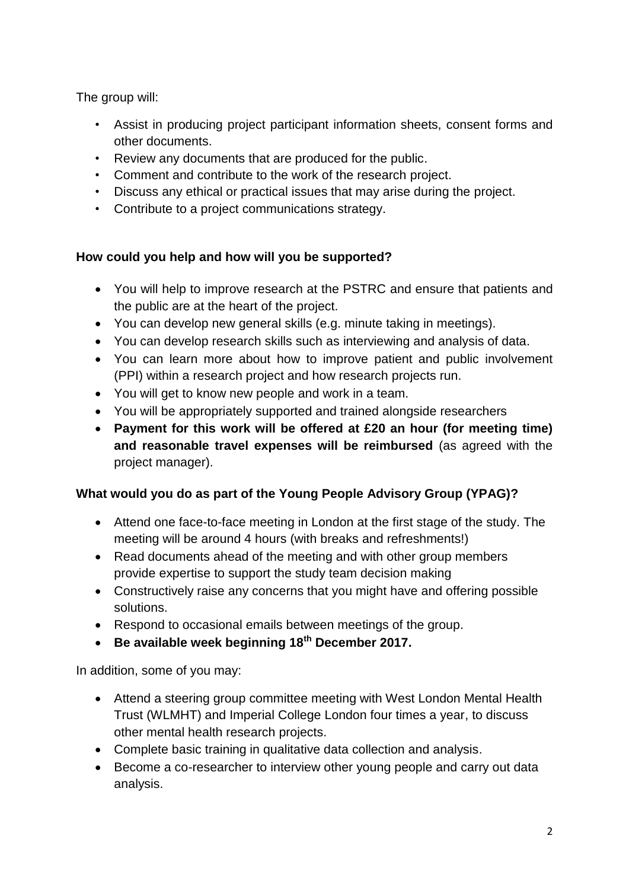The group will:

- Assist in producing project participant information sheets, consent forms and other documents.
- Review any documents that are produced for the public.
- Comment and contribute to the work of the research project.
- Discuss any ethical or practical issues that may arise during the project.
- Contribute to a project communications strategy.

## **How could you help and how will you be supported?**

- You will help to improve research at the PSTRC and ensure that patients and the public are at the heart of the project.
- You can develop new general skills (e.g. minute taking in meetings).
- You can develop research skills such as interviewing and analysis of data.
- You can learn more about how to improve patient and public involvement (PPI) within a research project and how research projects run.
- You will get to know new people and work in a team.
- You will be appropriately supported and trained alongside researchers
- **Payment for this work will be offered at £20 an hour (for meeting time) and reasonable travel expenses will be reimbursed** (as agreed with the project manager).

## **What would you do as part of the Young People Advisory Group (YPAG)?**

- Attend one face-to-face meeting in London at the first stage of the study. The meeting will be around 4 hours (with breaks and refreshments!)
- Read documents ahead of the meeting and with other group members provide expertise to support the study team decision making
- Constructively raise any concerns that you might have and offering possible solutions.
- Respond to occasional emails between meetings of the group.
- **Be available week beginning 18th December 2017.**

In addition, some of you may:

- Attend a steering group committee meeting with West London Mental Health Trust (WLMHT) and Imperial College London four times a year, to discuss other mental health research projects.
- Complete basic training in qualitative data collection and analysis.
- Become a co-researcher to interview other young people and carry out data analysis.